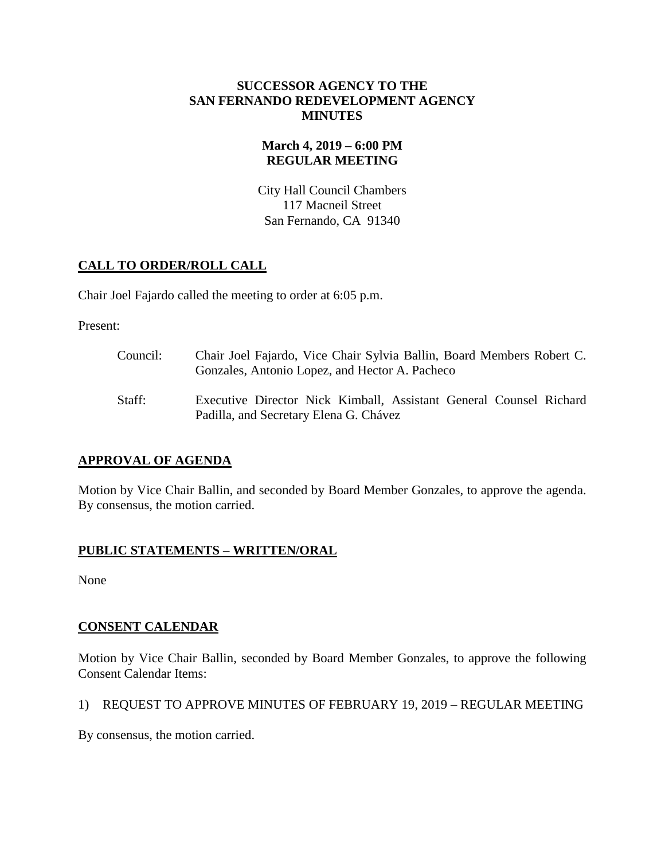#### **SUCCESSOR AGENCY TO THE SAN FERNANDO REDEVELOPMENT AGENCY MINUTES**

# **March 4, 2019 – 6:00 PM REGULAR MEETING**

City Hall Council Chambers 117 Macneil Street San Fernando, CA 91340

# **CALL TO ORDER/ROLL CALL**

Chair Joel Fajardo called the meeting to order at 6:05 p.m.

Present:

Council: Chair Joel Fajardo, Vice Chair Sylvia Ballin, Board Members Robert C. Gonzales, Antonio Lopez, and Hector A. Pacheco Staff: Executive Director Nick Kimball, Assistant General Counsel Richard Padilla, and Secretary Elena G. Chávez

# **APPROVAL OF AGENDA**

Motion by Vice Chair Ballin, and seconded by Board Member Gonzales, to approve the agenda. By consensus, the motion carried.

# **PUBLIC STATEMENTS – WRITTEN/ORAL**

None

# **CONSENT CALENDAR**

Motion by Vice Chair Ballin, seconded by Board Member Gonzales, to approve the following Consent Calendar Items:

# 1) REQUEST TO APPROVE MINUTES OF FEBRUARY 19, 2019 – REGULAR MEETING

By consensus, the motion carried.